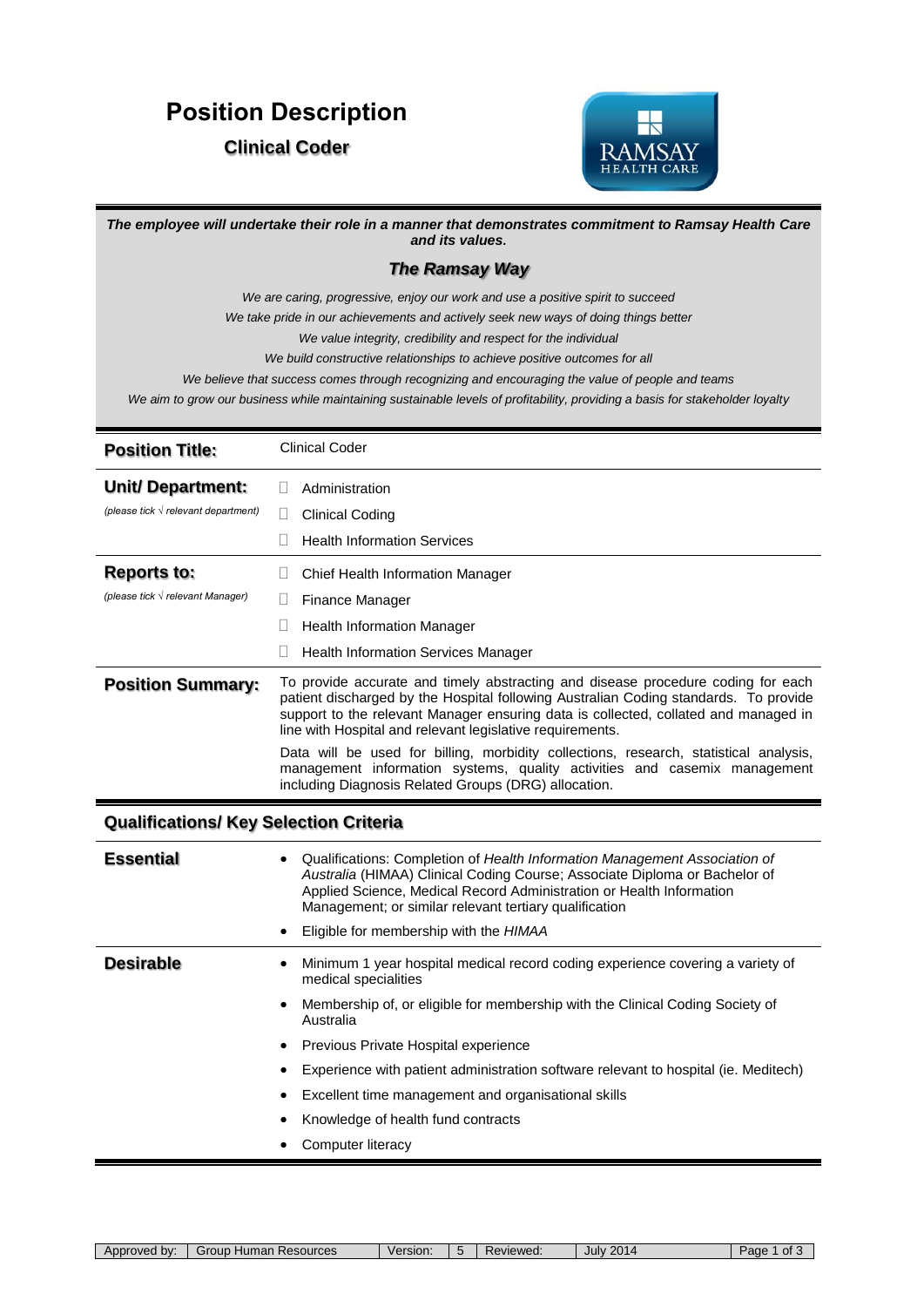## **Position Description**

## **Clinical Coder**



| The employee will undertake their role in a manner that demonstrates commitment to Ramsay Health Care<br>and its values. |                                                                                                                                                                                                                                                                                                                                                                                                                                                                                                                                                         |  |
|--------------------------------------------------------------------------------------------------------------------------|---------------------------------------------------------------------------------------------------------------------------------------------------------------------------------------------------------------------------------------------------------------------------------------------------------------------------------------------------------------------------------------------------------------------------------------------------------------------------------------------------------------------------------------------------------|--|
| <b>The Ramsay Way</b>                                                                                                    |                                                                                                                                                                                                                                                                                                                                                                                                                                                                                                                                                         |  |
|                                                                                                                          | We are caring, progressive, enjoy our work and use a positive spirit to succeed<br>We take pride in our achievements and actively seek new ways of doing things better<br>We value integrity, credibility and respect for the individual<br>We build constructive relationships to achieve positive outcomes for all<br>We believe that success comes through recognizing and encouraging the value of people and teams<br>We aim to grow our business while maintaining sustainable levels of profitability, providing a basis for stakeholder loyalty |  |
| <b>Position Title:</b>                                                                                                   | <b>Clinical Coder</b>                                                                                                                                                                                                                                                                                                                                                                                                                                                                                                                                   |  |
| <b>Unit/Department:</b>                                                                                                  | Administration                                                                                                                                                                                                                                                                                                                                                                                                                                                                                                                                          |  |
| (please tick $\sqrt{r}$ relevant department)                                                                             | Н<br><b>Clinical Coding</b>                                                                                                                                                                                                                                                                                                                                                                                                                                                                                                                             |  |
|                                                                                                                          | <b>Health Information Services</b>                                                                                                                                                                                                                                                                                                                                                                                                                                                                                                                      |  |
| <b>Reports to:</b>                                                                                                       | $\mathsf{L}$<br>Chief Health Information Manager                                                                                                                                                                                                                                                                                                                                                                                                                                                                                                        |  |
| (please tick $\sqrt{r}$ relevant Manager)                                                                                | Finance Manager                                                                                                                                                                                                                                                                                                                                                                                                                                                                                                                                         |  |
|                                                                                                                          | L<br><b>Health Information Manager</b>                                                                                                                                                                                                                                                                                                                                                                                                                                                                                                                  |  |
|                                                                                                                          | <b>Health Information Services Manager</b>                                                                                                                                                                                                                                                                                                                                                                                                                                                                                                              |  |
| <b>Position Summary:</b>                                                                                                 | To provide accurate and timely abstracting and disease procedure coding for each<br>patient discharged by the Hospital following Australian Coding standards. To provide<br>support to the relevant Manager ensuring data is collected, collated and managed in<br>line with Hospital and relevant legislative requirements.                                                                                                                                                                                                                            |  |
|                                                                                                                          | Data will be used for billing, morbidity collections, research, statistical analysis,<br>management information systems, quality activities and casemix management<br>including Diagnosis Related Groups (DRG) allocation.                                                                                                                                                                                                                                                                                                                              |  |
| <b>Qualifications/ Key Selection Criteria</b>                                                                            |                                                                                                                                                                                                                                                                                                                                                                                                                                                                                                                                                         |  |
| <b>Essential</b>                                                                                                         | Qualifications: Completion of Health Information Management Association of<br>Australia (HIMAA) Clinical Coding Course; Associate Diploma or Bachelor of<br>Applied Science, Medical Record Administration or Health Information<br>Management; or similar relevant tertiary qualification                                                                                                                                                                                                                                                              |  |
|                                                                                                                          | Eligible for membership with the HIMAA                                                                                                                                                                                                                                                                                                                                                                                                                                                                                                                  |  |
| <b>Desirable</b>                                                                                                         | Minimum 1 year hospital medical record coding experience covering a variety of<br>٠<br>medical specialities                                                                                                                                                                                                                                                                                                                                                                                                                                             |  |
|                                                                                                                          | Membership of, or eligible for membership with the Clinical Coding Society of<br>$\bullet$<br>Australia                                                                                                                                                                                                                                                                                                                                                                                                                                                 |  |
|                                                                                                                          | Previous Private Hospital experience<br>٠                                                                                                                                                                                                                                                                                                                                                                                                                                                                                                               |  |
|                                                                                                                          | Experience with patient administration software relevant to hospital (ie. Meditech)                                                                                                                                                                                                                                                                                                                                                                                                                                                                     |  |
|                                                                                                                          | Excellent time management and organisational skills                                                                                                                                                                                                                                                                                                                                                                                                                                                                                                     |  |
|                                                                                                                          | Knowledge of health fund contracts                                                                                                                                                                                                                                                                                                                                                                                                                                                                                                                      |  |
|                                                                                                                          | Computer literacy                                                                                                                                                                                                                                                                                                                                                                                                                                                                                                                                       |  |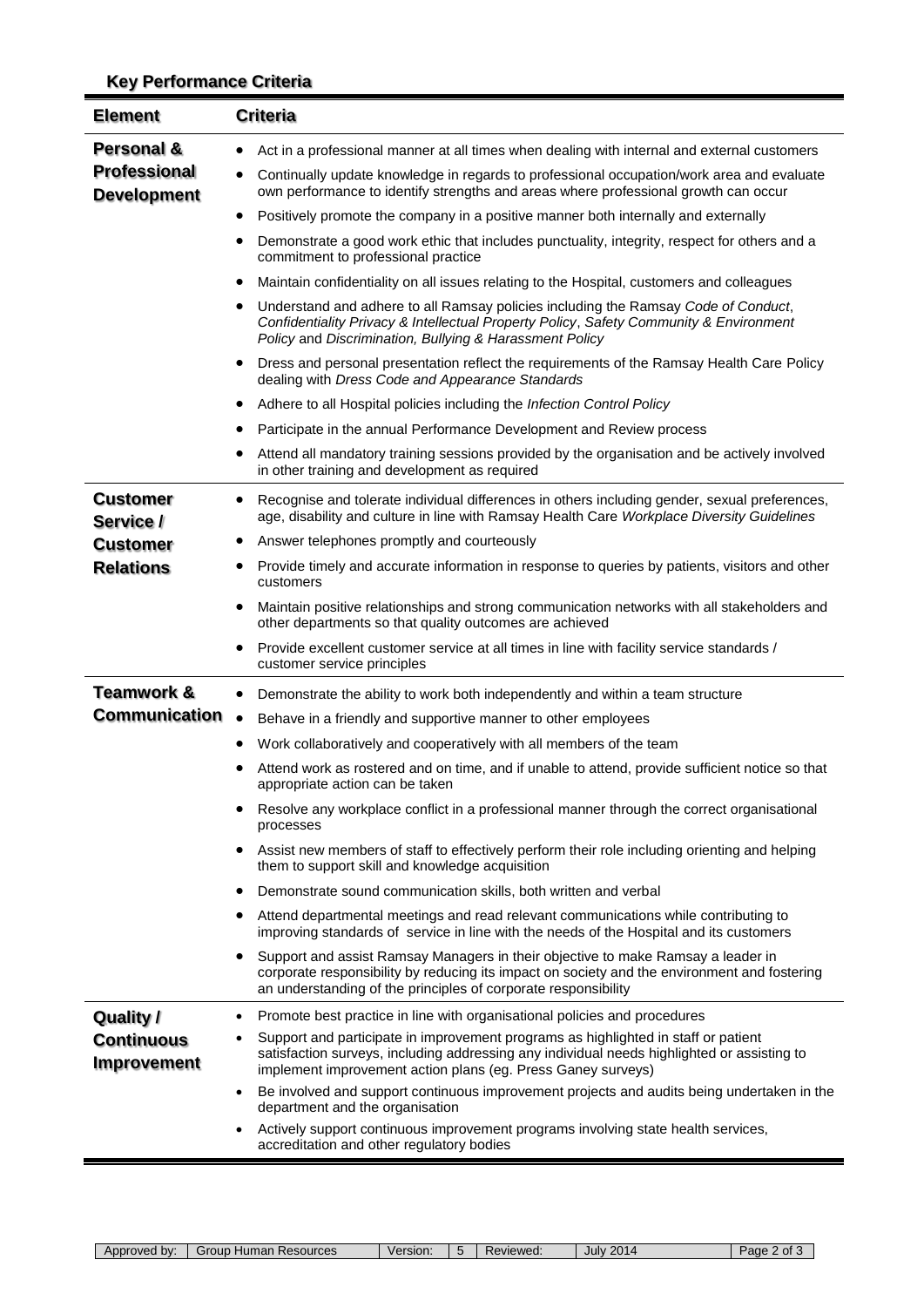## **Key Performance Criteria**

| <b>Element</b>                            | <b>Criteria</b>                                                                                                                                                                                                                                    |
|-------------------------------------------|----------------------------------------------------------------------------------------------------------------------------------------------------------------------------------------------------------------------------------------------------|
| <b>Personal &amp;</b>                     | Act in a professional manner at all times when dealing with internal and external customers                                                                                                                                                        |
| <b>Professional</b><br><b>Development</b> | Continually update knowledge in regards to professional occupation/work area and evaluate<br>own performance to identify strengths and areas where professional growth can occur                                                                   |
|                                           | Positively promote the company in a positive manner both internally and externally<br>٠                                                                                                                                                            |
|                                           | Demonstrate a good work ethic that includes punctuality, integrity, respect for others and a<br>commitment to professional practice                                                                                                                |
|                                           | Maintain confidentiality on all issues relating to the Hospital, customers and colleagues                                                                                                                                                          |
|                                           | Understand and adhere to all Ramsay policies including the Ramsay Code of Conduct,<br>٠<br>Confidentiality Privacy & Intellectual Property Policy, Safety Community & Environment<br>Policy and Discrimination, Bullying & Harassment Policy       |
|                                           | Dress and personal presentation reflect the requirements of the Ramsay Health Care Policy<br>dealing with Dress Code and Appearance Standards                                                                                                      |
|                                           | Adhere to all Hospital policies including the Infection Control Policy<br>٠                                                                                                                                                                        |
|                                           | Participate in the annual Performance Development and Review process                                                                                                                                                                               |
|                                           | Attend all mandatory training sessions provided by the organisation and be actively involved<br>in other training and development as required                                                                                                      |
| <b>Customer</b><br>Service /              | Recognise and tolerate individual differences in others including gender, sexual preferences,<br>age, disability and culture in line with Ramsay Health Care Workplace Diversity Guidelines                                                        |
| <b>Customer</b>                           | Answer telephones promptly and courteously<br>٠                                                                                                                                                                                                    |
| <b>Relations</b>                          | Provide timely and accurate information in response to queries by patients, visitors and other<br>customers                                                                                                                                        |
|                                           | Maintain positive relationships and strong communication networks with all stakeholders and<br>٠<br>other departments so that quality outcomes are achieved                                                                                        |
|                                           | Provide excellent customer service at all times in line with facility service standards /<br>customer service principles                                                                                                                           |
| <b>Teamwork &amp;</b>                     | Demonstrate the ability to work both independently and within a team structure                                                                                                                                                                     |
| <b>Communication</b>                      | $\bullet$<br>Behave in a friendly and supportive manner to other employees                                                                                                                                                                         |
|                                           | Work collaboratively and cooperatively with all members of the team                                                                                                                                                                                |
|                                           | Attend work as rostered and on time, and if unable to attend, provide sufficient notice so that<br>appropriate action can be taken                                                                                                                 |
|                                           | Resolve any workplace conflict in a professional manner through the correct organisational<br>processes                                                                                                                                            |
|                                           | Assist new members of staff to effectively perform their role including orienting and helping<br>them to support skill and knowledge acquisition                                                                                                   |
|                                           | Demonstrate sound communication skills, both written and verbal                                                                                                                                                                                    |
|                                           | Attend departmental meetings and read relevant communications while contributing to<br>improving standards of service in line with the needs of the Hospital and its customers                                                                     |
|                                           | Support and assist Ramsay Managers in their objective to make Ramsay a leader in<br>corporate responsibility by reducing its impact on society and the environment and fostering<br>an understanding of the principles of corporate responsibility |
| <b>Quality /</b>                          | Promote best practice in line with organisational policies and procedures<br>$\bullet$                                                                                                                                                             |
| <b>Continuous</b><br><b>Improvement</b>   | Support and participate in improvement programs as highlighted in staff or patient<br>satisfaction surveys, including addressing any individual needs highlighted or assisting to<br>implement improvement action plans (eg. Press Ganey surveys)  |
|                                           | Be involved and support continuous improvement projects and audits being undertaken in the<br>department and the organisation                                                                                                                      |
|                                           | Actively support continuous improvement programs involving state health services,<br>accreditation and other regulatory bodies                                                                                                                     |